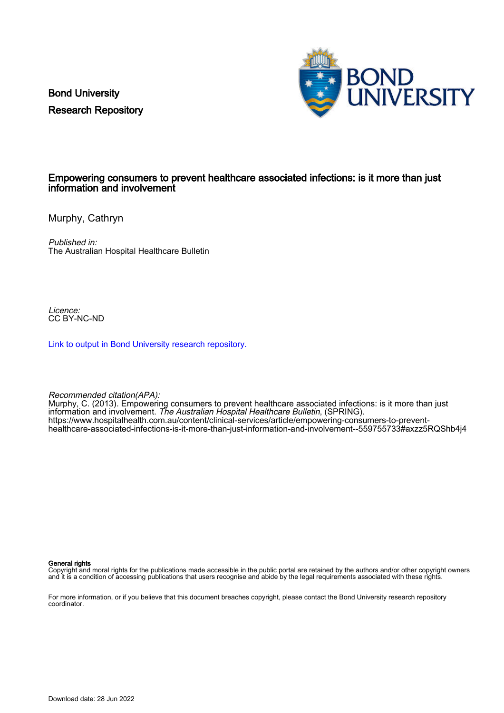Bond University Research Repository



## Empowering consumers to prevent healthcare associated infections: is it more than just information and involvement

Murphy, Cathryn

Published in: The Australian Hospital Healthcare Bulletin

Licence: CC BY-NC-ND

[Link to output in Bond University research repository.](https://research.bond.edu.au/en/publications/61fd2291-60cc-4911-b4e0-f54de0bbe5a4)

Recommended citation(APA):

Murphy, C. (2013). Empowering consumers to prevent healthcare associated infections: is it more than just information and involvement. The Australian Hospital Healthcare Bulletin, (SPRING). [https://www.hospitalhealth.com.au/content/clinical-services/article/empowering-consumers-to-prevent](https://www.hospitalhealth.com.au/content/clinical-services/article/empowering-consumers-to-prevent-healthcare-associated-infections-is-it-more-than-just-information-and-involvement--559755733#axzz5RQShb4j4)[healthcare-associated-infections-is-it-more-than-just-information-and-involvement--559755733#axzz5RQShb4j4](https://www.hospitalhealth.com.au/content/clinical-services/article/empowering-consumers-to-prevent-healthcare-associated-infections-is-it-more-than-just-information-and-involvement--559755733#axzz5RQShb4j4)

General rights

Copyright and moral rights for the publications made accessible in the public portal are retained by the authors and/or other copyright owners and it is a condition of accessing publications that users recognise and abide by the legal requirements associated with these rights.

For more information, or if you believe that this document breaches copyright, please contact the Bond University research repository coordinator.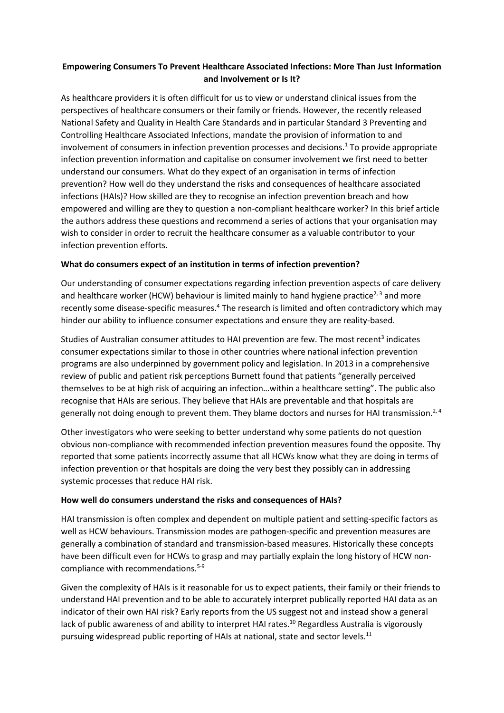# **Empowering Consumers To Prevent Healthcare Associated Infections: More Than Just Information and Involvement or Is It?**

As healthcare providers it is often difficult for us to view or understand clinical issues from the perspectives of healthcare consumers or their family or friends. However, the recently released National Safety and Quality in Health Care Standards and in particular Standard 3 Preventing and Controlling Healthcare Associated Infections, mandate the provision of information to and involvement of consumers in infection prevention processes and decisions[.](#page-3-0) $<sup>1</sup>$  To provide appropriate</sup> infection prevention information and capitalise on consumer involvement we first need to better understand our consumers. What do they expect of an organisation in terms of infection prevention? How well do they understand the risks and consequences of healthcare associated infections (HAIs)? How skilled are they to recognise an infection prevention breach and how empowered and willing are they to question a non-compliant healthcare worker? In this brief article the authors address these questions and recommend a series of actions that your organisation may wish to consider in order to recruit the healthcare consumer as a valuable contributor to your infection prevention efforts.

# **What do consumers expect of an institution in terms of infection prevention?**

Our understanding of consumer expectations regarding infection prevention aspects of care delivery and healthcare worker (HCW) behaviour is limited mainly to hand hygiene practice<sup>[2,](#page-3-1) [3](#page-3-2)</sup> and more recently some disease-specific measures.<sup>[4](#page-3-3)</sup> The research is limited and often contradictory which may hinder our ability to influence consumer expectations and ensure they are reality-based.

S[t](#page-3-2)udies of Australian consumer attitudes to HAI prevention are few. The most recent<sup>3</sup> indicates consumer expectations similar to those in other countries where national infection prevention programs are also underpinned by government policy and legislation. In 2013 in a comprehensive review of public and patient risk perceptions Burnett found that patients "generally perceived themselves to be at high risk of acquiring an infection…within a healthcare setting". The public also recognise that HAIs are serious. They believe that HAIs are preventable and that hospitals are generally not doing enough to prevent them. They blame doctors and nurses for HAI transmission.<sup>[2,](#page-3-1) [4](#page-3-3)</sup>

Other investigators who were seeking to better understand why some patients do not question obvious non-compliance with recommended infection prevention measures found the opposite. Thy reported that some patients incorrectly assume that all HCWs know what they are doing in terms of infection prevention or that hospitals are doing the very best they possibly can in addressing systemic processes that reduce HAI risk.

#### **How well do consumers understand the risks and consequences of HAIs?**

HAI transmission is often complex and dependent on multiple patient and setting-specific factors as well as HCW behaviours. Transmission modes are pathogen-specific and prevention measures are generally a combination of standard and transmission-based measures. Historically these concepts have been difficult even for HCWs to grasp and may partially explain the long history of HCW noncompliance with recommendations. [5-9](#page-3-4)

Given the complexity of HAIs is it reasonable for us to expect patients, their family or their friends to understand HAI prevention and to be able to accurately interpret publically reported HAI data as an indicator of their own HAI risk? Early reports from the US suggest not and instead show a general lack of public awareness of and ability to interpret HAI rates.<sup>[10](#page-3-5)</sup> Regardless Australia is vigorously pursuing widespread public reporting of HAIs at national, state and sector levels.<sup>[11](#page-3-6)</sup>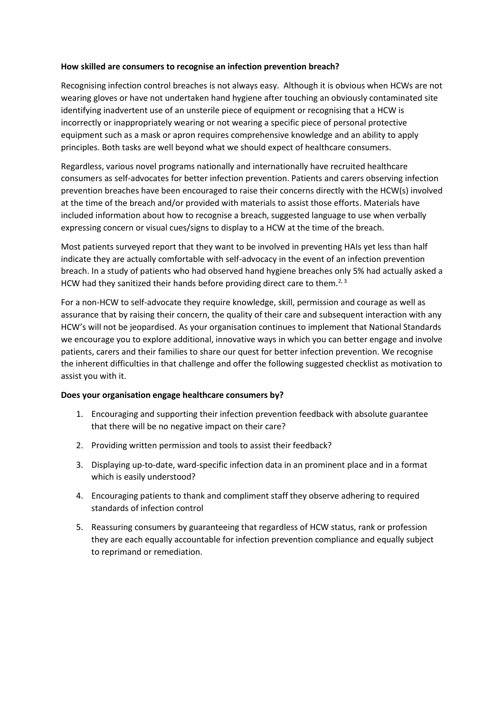#### **How skilled are consumers to recognise an infection prevention breach?**

Recognising infection control breaches is not always easy. Although it is obvious when HCWs are not wearing gloves or have not undertaken hand hygiene after touching an obviously contaminated site identifying inadvertent use of an unsterile piece of equipment or recognising that a HCW is incorrectly or inappropriately wearing or not wearing a specific piece of personal protective equipment such as a mask or apron requires comprehensive knowledge and an ability to apply principles. Both tasks are well beyond what we should expect of healthcare consumers.

Regardless, various novel programs nationally and internationally have recruited healthcare consumers as self-advocates for better infection prevention. Patients and carers observing infection prevention breaches have been encouraged to raise their concerns directly with the HCW(s) involved at the time of the breach and/or provided with materials to assist those efforts. Materials have included information about how to recognise a breach, suggested language to use when verbally expressing concern or visual cues/signs to display to a HCW at the time of the breach.

Most patients surveyed report that they want to be involved in preventing HAIs yet less than half indicate they are actually comfortable with self-advocacy in the event of an infection prevention breach. In a study of patients who had observed hand hygiene breaches only 5% had actually asked a HCW had they sanitized their hands before providing direct care to them.<sup>[2,](#page-3-1) [3](#page-3-2)</sup>

For a non-HCW to self-advocate they require knowledge, skill, permission and courage as well as assurance that by raising their concern, the quality of their care and subsequent interaction with any HCW's will not be jeopardised. As your organisation continues to implement that National Standards we encourage you to explore additional, innovative ways in which you can better engage and involve patients, carers and their families to share our quest for better infection prevention. We recognise the inherent difficulties in that challenge and offer the following suggested checklist as motivation to assist you with it.

#### **Does your organisation engage healthcare consumers by?**

- 1. Encouraging and supporting their infection prevention feedback with absolute guarantee that there will be no negative impact on their care?
- 2. Providing written permission and tools to assist their feedback?
- 3. Displaying up-to-date, ward-specific infection data in an prominent place and in a format which is easily understood?
- 4. Encouraging patients to thank and compliment staff they observe adhering to required standards of infection control
- 5. Reassuring consumers by guaranteeing that regardless of HCW status, rank or profession they are each equally accountable for infection prevention compliance and equally subject to reprimand or remediation.